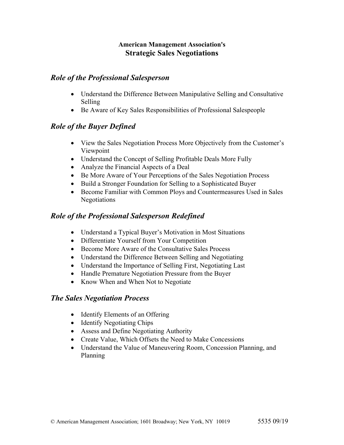#### **American Management Association's Strategic Sales Negotiations**

#### *Role of the Professional Salesperson*

- Understand the Difference Between Manipulative Selling and Consultative Selling
- Be Aware of Key Sales Responsibilities of Professional Salespeople

# *Role of the Buyer Defined*

- View the Sales Negotiation Process More Objectively from the Customer's Viewpoint
- Understand the Concept of Selling Profitable Deals More Fully
- Analyze the Financial Aspects of a Deal
- Be More Aware of Your Perceptions of the Sales Negotiation Process
- Build a Stronger Foundation for Selling to a Sophisticated Buyer
- Become Familiar with Common Ploys and Countermeasures Used in Sales Negotiations

## *Role of the Professional Salesperson Redefined*

- Understand a Typical Buyer's Motivation in Most Situations
- Differentiate Yourself from Your Competition
- Become More Aware of the Consultative Sales Process
- Understand the Difference Between Selling and Negotiating
- Understand the Importance of Selling First, Negotiating Last
- Handle Premature Negotiation Pressure from the Buyer
- Know When and When Not to Negotiate

### *The Sales Negotiation Process*

- Identify Elements of an Offering
- Identify Negotiating Chips
- Assess and Define Negotiating Authority
- Create Value, Which Offsets the Need to Make Concessions
- Understand the Value of Maneuvering Room, Concession Planning, and Planning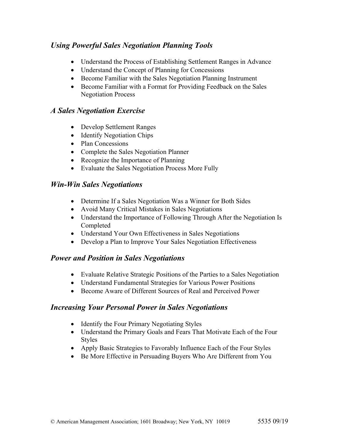## *Using Powerful Sales Negotiation Planning Tools*

- Understand the Process of Establishing Settlement Ranges in Advance
- Understand the Concept of Planning for Concessions
- Become Familiar with the Sales Negotiation Planning Instrument
- Become Familiar with a Format for Providing Feedback on the Sales Negotiation Process

#### *A Sales Negotiation Exercise*

- Develop Settlement Ranges
- Identify Negotiation Chips
- Plan Concessions
- Complete the Sales Negotiation Planner
- Recognize the Importance of Planning
- Evaluate the Sales Negotiation Process More Fully

### *Win-Win Sales Negotiations*

- Determine If a Sales Negotiation Was a Winner for Both Sides
- Avoid Many Critical Mistakes in Sales Negotiations
- Understand the Importance of Following Through After the Negotiation Is Completed
- Understand Your Own Effectiveness in Sales Negotiations
- Develop a Plan to Improve Your Sales Negotiation Effectiveness

### *Power and Position in Sales Negotiations*

- Evaluate Relative Strategic Positions of the Parties to a Sales Negotiation
- Understand Fundamental Strategies for Various Power Positions
- Become Aware of Different Sources of Real and Perceived Power

### *Increasing Your Personal Power in Sales Negotiations*

- Identify the Four Primary Negotiating Styles
- Understand the Primary Goals and Fears That Motivate Each of the Four Styles
- Apply Basic Strategies to Favorably Influence Each of the Four Styles
- Be More Effective in Persuading Buyers Who Are Different from You